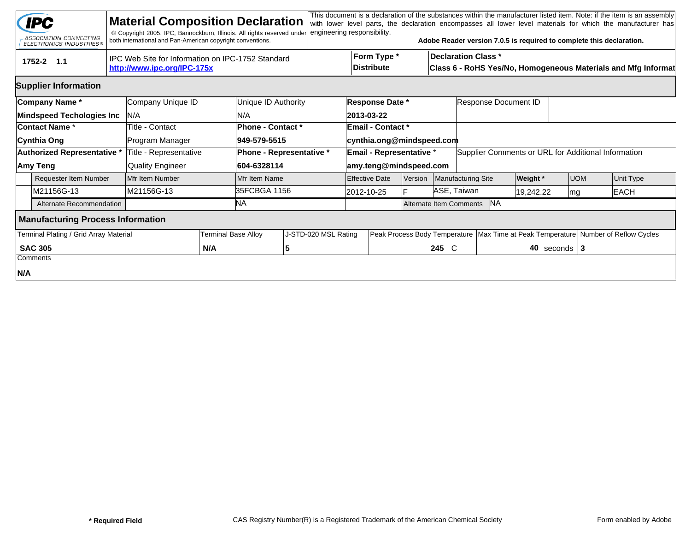|                                                                                                | <b>IPC</b><br>ASSOCIATION CONNECTING<br><b>ELECTRONICS INDUSTRIES®</b> |  | <b>Material Composition Declaration</b><br>© Copyright 2005. IPC, Bannockburn, Illinois. All rights reserved under<br>both international and Pan-American copyright conventions. |                            |                      | engineering responsibility.             |                          |                                                                                                                          |         |                                      | Adobe Reader version 7.0.5 is required to complete this declaration.                   |           |                  |            | This document is a declaration of the substances within the manufacturer listed item. Note: if the item is an assembly<br>with lower level parts, the declaration encompasses all lower level materials for which the manufacturer has |  |
|------------------------------------------------------------------------------------------------|------------------------------------------------------------------------|--|----------------------------------------------------------------------------------------------------------------------------------------------------------------------------------|----------------------------|----------------------|-----------------------------------------|--------------------------|--------------------------------------------------------------------------------------------------------------------------|---------|--------------------------------------|----------------------------------------------------------------------------------------|-----------|------------------|------------|----------------------------------------------------------------------------------------------------------------------------------------------------------------------------------------------------------------------------------------|--|
| IPC Web Site for Information on IPC-1752 Standard<br>1752-2 1.1<br>http://www.ipc.org/IPC-175x |                                                                        |  |                                                                                                                                                                                  |                            |                      |                                         |                          | Form Type *<br><b>Declaration Class *</b><br>Distribute<br>Class 6 - RoHS Yes/No, Homogeneous Materials and Mfg Informat |         |                                      |                                                                                        |           |                  |            |                                                                                                                                                                                                                                        |  |
|                                                                                                | <b>Supplier Information</b>                                            |  |                                                                                                                                                                                  |                            |                      |                                         |                          |                                                                                                                          |         |                                      |                                                                                        |           |                  |            |                                                                                                                                                                                                                                        |  |
|                                                                                                | Company Name*                                                          |  | Company Unique ID                                                                                                                                                                |                            | Unique ID Authority  | Response Date *<br>Response Document ID |                          |                                                                                                                          |         |                                      |                                                                                        |           |                  |            |                                                                                                                                                                                                                                        |  |
|                                                                                                | <b>Mindspeed Techologies Inc</b>                                       |  | IN/A                                                                                                                                                                             |                            | N/A                  |                                         |                          | 2013-03-22                                                                                                               |         |                                      |                                                                                        |           |                  |            |                                                                                                                                                                                                                                        |  |
| Contact Name *                                                                                 |                                                                        |  | Title - Contact                                                                                                                                                                  |                            | Phone - Contact *    |                                         |                          | <b>Email - Contact *</b>                                                                                                 |         |                                      |                                                                                        |           |                  |            |                                                                                                                                                                                                                                        |  |
|                                                                                                | Cynthia Ong                                                            |  | Program Manager                                                                                                                                                                  |                            | 949-579-5515         |                                         |                          |                                                                                                                          |         | cynthia.ong@mindspeed.com            |                                                                                        |           |                  |            |                                                                                                                                                                                                                                        |  |
|                                                                                                | Authorized Representative *                                            |  | Title - Representative                                                                                                                                                           | Phone - Representative *   |                      |                                         | Email - Representative * |                                                                                                                          |         |                                      | Supplier Comments or URL for Additional Information                                    |           |                  |            |                                                                                                                                                                                                                                        |  |
|                                                                                                | Amy Teng                                                               |  | <b>Quality Engineer</b>                                                                                                                                                          | 604-6328114                |                      |                                         |                          | amy.teng@mindspeed.com                                                                                                   |         |                                      |                                                                                        |           |                  |            |                                                                                                                                                                                                                                        |  |
|                                                                                                | <b>Requester Item Number</b>                                           |  | Mfr Item Number                                                                                                                                                                  |                            | Mfr Item Name        |                                         |                          | <b>Effective Date</b>                                                                                                    | Version |                                      | Manufacturing Site                                                                     | Weight *  |                  | <b>UOM</b> | Unit Type                                                                                                                                                                                                                              |  |
|                                                                                                | M21156G-13                                                             |  | M21156G-13                                                                                                                                                                       |                            | 35FCBGA 1156         |                                         |                          | 2012-10-25                                                                                                               |         | ASE, Taiwan                          |                                                                                        | 19,242.22 | mg               |            | <b>EACH</b>                                                                                                                                                                                                                            |  |
|                                                                                                | Alternate Recommendation                                               |  |                                                                                                                                                                                  |                            | NA.                  |                                         |                          |                                                                                                                          |         | <b>NA</b><br>Alternate Item Comments |                                                                                        |           |                  |            |                                                                                                                                                                                                                                        |  |
|                                                                                                | <b>Manufacturing Process Information</b>                               |  |                                                                                                                                                                                  |                            |                      |                                         |                          |                                                                                                                          |         |                                      |                                                                                        |           |                  |            |                                                                                                                                                                                                                                        |  |
|                                                                                                | Terminal Plating / Grid Array Material                                 |  |                                                                                                                                                                                  | <b>Terminal Base Alloy</b> | J-STD-020 MSL Rating |                                         |                          |                                                                                                                          |         |                                      | Peak Process Body Temperature   Max Time at Peak Temperature   Number of Reflow Cycles |           |                  |            |                                                                                                                                                                                                                                        |  |
|                                                                                                | <b>SAC 305</b>                                                         |  |                                                                                                                                                                                  | N/A                        |                      | 5                                       |                          | 245 C                                                                                                                    |         |                                      |                                                                                        |           | 40 seconds $ 3 $ |            |                                                                                                                                                                                                                                        |  |
|                                                                                                | Comments                                                               |  |                                                                                                                                                                                  |                            |                      |                                         |                          |                                                                                                                          |         |                                      |                                                                                        |           |                  |            |                                                                                                                                                                                                                                        |  |
| N/A                                                                                            |                                                                        |  |                                                                                                                                                                                  |                            |                      |                                         |                          |                                                                                                                          |         |                                      |                                                                                        |           |                  |            |                                                                                                                                                                                                                                        |  |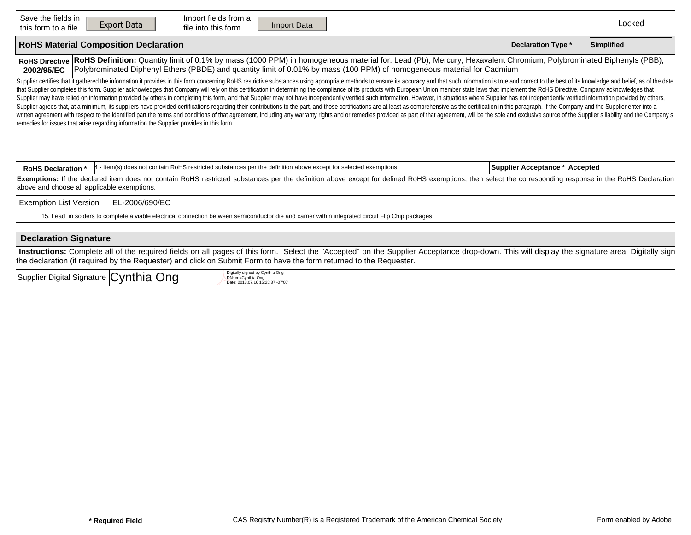| Save the fields in<br>Import fields from a<br><b>Export Data</b><br>Import Data<br>file into this form<br>this form to a file                                                                                                                                                                                                                                                                                                                                                                                                                                                                                                                                                                                                                                                                                                                                                                                                                                                                                                                                                                                                                                                                                                                                     |                                | Locked     |  |  |  |  |  |  |  |  |  |
|-------------------------------------------------------------------------------------------------------------------------------------------------------------------------------------------------------------------------------------------------------------------------------------------------------------------------------------------------------------------------------------------------------------------------------------------------------------------------------------------------------------------------------------------------------------------------------------------------------------------------------------------------------------------------------------------------------------------------------------------------------------------------------------------------------------------------------------------------------------------------------------------------------------------------------------------------------------------------------------------------------------------------------------------------------------------------------------------------------------------------------------------------------------------------------------------------------------------------------------------------------------------|--------------------------------|------------|--|--|--|--|--|--|--|--|--|
| <b>RoHS Material Composition Declaration</b>                                                                                                                                                                                                                                                                                                                                                                                                                                                                                                                                                                                                                                                                                                                                                                                                                                                                                                                                                                                                                                                                                                                                                                                                                      | <b>Declaration Type *</b>      | Simplified |  |  |  |  |  |  |  |  |  |
| RoHS Definition: Quantity limit of 0.1% by mass (1000 PPM) in homogeneous material for: Lead (Pb), Mercury, Hexavalent Chromium, Polybrominated Biphenyls (PBB),<br><b>RoHS Directive</b><br>Polybrominated Diphenyl Ethers (PBDE) and quantity limit of 0.01% by mass (100 PPM) of homogeneous material for Cadmium<br>2002/95/EC                                                                                                                                                                                                                                                                                                                                                                                                                                                                                                                                                                                                                                                                                                                                                                                                                                                                                                                                |                                |            |  |  |  |  |  |  |  |  |  |
| Supplier certifies that it gathered the information it provides in this form concerning RoHS restrictive substances using appropriate methods to ensure its accuracy and that such information is true and correct to the best<br>that Supplier completes this form. Supplier acknowledges that Company will rely on this certification in determining the compliance of its products with European Union member state laws that implement the RoHS Directive. C<br>Supplier may have relied on information provided by others in completing this form, and that Supplier may not have independently verified such information. However, in situations where Supplier has not independently verifi<br>Supplier agrees that, at a minimum, its suppliers have provided certifications regarding their contributions to the part, and those certifications are at least as comprehensive as the certification in this paragraph. If th<br>written agreement with respect to the identified part, the terms and conditions of that agreement, including any warranty rights and or remedies provided as part of that agreement, will be the sole and exclusive source of<br>remedies for issues that arise regarding information the Supplier provides in this form. |                                |            |  |  |  |  |  |  |  |  |  |
| - Item(s) does not contain RoHS restricted substances per the definition above except for selected exemptions<br><b>RoHS Declaration</b>                                                                                                                                                                                                                                                                                                                                                                                                                                                                                                                                                                                                                                                                                                                                                                                                                                                                                                                                                                                                                                                                                                                          | Supplier Acceptance * Accepted |            |  |  |  |  |  |  |  |  |  |
| Exemptions: If the declared item does not contain RoHS restricted substances per the definition above except for defined RoHS exemptions, then select the corresponding response in the RoHS Declaration<br>above and choose all applicable exemptions.                                                                                                                                                                                                                                                                                                                                                                                                                                                                                                                                                                                                                                                                                                                                                                                                                                                                                                                                                                                                           |                                |            |  |  |  |  |  |  |  |  |  |
| <b>Exemption List Version</b><br>EL-2006/690/EC                                                                                                                                                                                                                                                                                                                                                                                                                                                                                                                                                                                                                                                                                                                                                                                                                                                                                                                                                                                                                                                                                                                                                                                                                   |                                |            |  |  |  |  |  |  |  |  |  |
| 15. Lead in solders to complete a viable electrical connection between semiconductor die and carrier within integrated circuit Flip Chip packages.                                                                                                                                                                                                                                                                                                                                                                                                                                                                                                                                                                                                                                                                                                                                                                                                                                                                                                                                                                                                                                                                                                                |                                |            |  |  |  |  |  |  |  |  |  |
|                                                                                                                                                                                                                                                                                                                                                                                                                                                                                                                                                                                                                                                                                                                                                                                                                                                                                                                                                                                                                                                                                                                                                                                                                                                                   |                                |            |  |  |  |  |  |  |  |  |  |
| <b>Declaration Signature</b>                                                                                                                                                                                                                                                                                                                                                                                                                                                                                                                                                                                                                                                                                                                                                                                                                                                                                                                                                                                                                                                                                                                                                                                                                                      |                                |            |  |  |  |  |  |  |  |  |  |
| Instructions: Complete all of the required fields on all pages of this form. Select the "Accepted" on the Supplier Acceptance drop-down. This will display the signature area. Digitally sign<br>the declaration (if required by the Requester) and click on Submit Form to have the form returned to the Requester.                                                                                                                                                                                                                                                                                                                                                                                                                                                                                                                                                                                                                                                                                                                                                                                                                                                                                                                                              |                                |            |  |  |  |  |  |  |  |  |  |
| ۔ مان ما<br>Digitally signed by Cynthia Ong                                                                                                                                                                                                                                                                                                                                                                                                                                                                                                                                                                                                                                                                                                                                                                                                                                                                                                                                                                                                                                                                                                                                                                                                                       |                                |            |  |  |  |  |  |  |  |  |  |

| Cvnthia<br>Supplier Digital<br>⊃na<br>l Signature   <b>(</b> | signed by Cynthia Ong<br>$\sim$ $\sim$<br>37-07'00<br>* 16 15:25:ა. |  |
|--------------------------------------------------------------|---------------------------------------------------------------------|--|
|--------------------------------------------------------------|---------------------------------------------------------------------|--|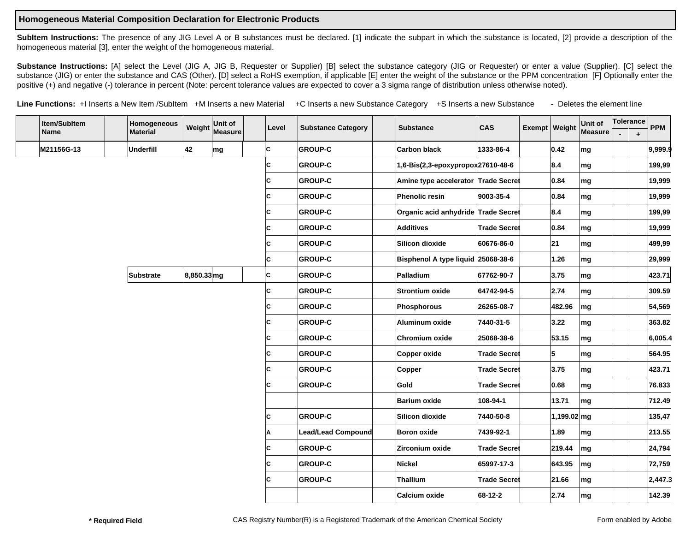## **Homogeneous Material Composition Declaration for Electronic Products**

SubItem Instructions: The presence of any JIG Level A or B substances must be declared. [1] indicate the subpart in which the substance is located, [2] provide a description of the homogeneous material [3], enter the weight of the homogeneous material.

Substance Instructions: [A] select the Level (JIG A, JIG B, Requester or Supplier) [B] select the substance category (JIG or Requester) or enter a value (Supplier). [C] select the substance (JIG) or enter the substance and CAS (Other). [D] select a RoHS exemption, if applicable [E] enter the weight of the substance or the PPM concentration [F] Optionally enter the positive (+) and negative (-) tolerance in percent (Note: percent tolerance values are expected to cover a 3 sigma range of distribution unless otherwise noted).

Line Functions: +I Inserts a New Item /SubItem +M Inserts a new Material +C Inserts a new Substance Category +S Inserts a new Substance - Deletes the element line

| Item/SubItem |  | Homogeneous      | Weight      | Unit of<br>Measure | Level | <b>Substance Category</b> | <b>Substance</b> |                                     | <b>CAS</b><br>Exempt   Weight |  |               | Unit of | Tolerance |           | <b>PPM</b> |
|--------------|--|------------------|-------------|--------------------|-------|---------------------------|------------------|-------------------------------------|-------------------------------|--|---------------|---------|-----------|-----------|------------|
| <b>Name</b>  |  | <b>Material</b>  |             |                    |       |                           |                  |                                     |                               |  |               | Measure |           | $\ddot{}$ |            |
| M21156G-13   |  | Underfill        | 42          | mg                 | lc.   | <b>GROUP-C</b>            |                  | <b>Carbon black</b>                 | 1333-86-4                     |  | 0.42          | mg      |           |           | 9,999.9    |
|              |  |                  |             |                    | C     | <b>GROUP-C</b>            |                  | 1,6-Bis(2,3-epoxypropox27610-48-6   |                               |  | 8.4           | mg      |           |           | 199,99     |
|              |  |                  |             |                    | c     | <b>GROUP-C</b>            |                  | Amine type accelerator Trade Secret |                               |  | 0.84          | mg      |           |           | 19,999     |
|              |  |                  |             |                    | C     | <b>GROUP-C</b>            |                  | Phenolic resin                      | 9003-35-4                     |  | 0.84          | mg      |           |           | 19,999     |
|              |  |                  |             |                    | C     | <b>GROUP-C</b>            |                  | Organic acid anhydride Trade Secret |                               |  | 8.4           | mg      |           |           | 199,99     |
|              |  |                  |             |                    | C     | <b>GROUP-C</b>            |                  | Additives                           | <b>Trade Secret</b>           |  | 0.84          | mg      |           |           | 19,999     |
|              |  |                  |             |                    | C     | <b>GROUP-C</b>            |                  | Silicon dioxide                     | 60676-86-0                    |  | 21            | mg      |           |           | 499,99     |
|              |  |                  |             |                    | C     | <b>GROUP-C</b>            |                  | Bisphenol A type liquid 25068-38-6  |                               |  | 1.26          | mg      |           |           | 29,999     |
|              |  | <b>Substrate</b> | 8,850.33 mg |                    | c     | <b>GROUP-C</b>            |                  | Palladium                           | 67762-90-7                    |  | 3.75          | mg      |           |           | 423.71     |
|              |  |                  |             |                    | C     | <b>GROUP-C</b>            |                  | <b> Strontium oxide</b>             | 64742-94-5                    |  | 2.74          | mg      |           |           | 309.59     |
|              |  |                  |             |                    | C     | <b>GROUP-C</b>            |                  | Phosphorous                         | 26265-08-7                    |  | 482.96        | mg      |           |           | 54,569     |
|              |  |                  |             |                    | C     | <b>GROUP-C</b>            |                  | Aluminum oxide                      | 7440-31-5                     |  | 3.22          | mg      |           |           | 363.82     |
|              |  |                  |             |                    | C     | <b>GROUP-C</b>            |                  | Chromium oxide                      | 25068-38-6                    |  | 53.15         | mg      |           |           | 6,005.4    |
|              |  |                  |             |                    | C     | <b>GROUP-C</b>            |                  | Copper oxide                        | <b>Trade Secret</b>           |  | 5             | mg      |           |           | 564.95     |
|              |  |                  |             |                    | C     | <b>GROUP-C</b>            |                  | <b>Copper</b>                       | <b>Trade Secret</b>           |  | 3.75          | mg      |           |           | 423.71     |
|              |  |                  |             |                    | C     | <b>GROUP-C</b>            |                  | Gold                                | <b>Trade Secret</b>           |  | 0.68          | mg      |           |           | 76.833     |
|              |  |                  |             |                    |       |                           |                  | <b>Barium oxide</b>                 | 108-94-1                      |  | 13.71         | mg      |           |           | 712.49     |
|              |  |                  |             |                    | c     | <b>GROUP-C</b>            |                  | Silicon dioxide                     | 7440-50-8                     |  | $1,199.02$ mg |         |           |           | 135,47     |
|              |  |                  |             |                    | A     | Lead/Lead Compound        |                  | Boron oxide                         | 7439-92-1                     |  | 1.89          | mg      |           |           | 213.55     |
|              |  |                  |             |                    | c     | <b>GROUP-C</b>            |                  | Zirconium oxide                     | <b>Trade Secret</b>           |  | 219.44        | mg      |           |           | 24,794     |
|              |  |                  |             |                    | C     | <b>GROUP-C</b>            |                  | Nickel                              | 65997-17-3                    |  | 643.95        | mg      |           |           | 72,759     |
|              |  |                  |             |                    | c     | <b>GROUP-C</b>            |                  | Thallium                            | <b>Trade Secret</b>           |  | 21.66         | mg      |           |           | 2,447.3    |
|              |  |                  |             |                    |       |                           |                  | Calcium oxide                       | 68-12-2                       |  | 2.74          | mg      |           |           | 142.39     |